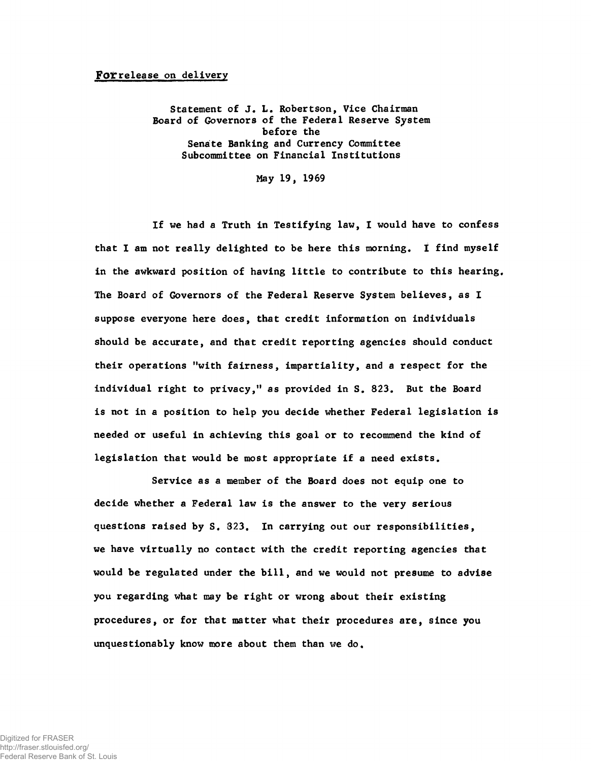## For release on delivery

Statement of J. L. Robertson, Vice Chairman Board of Governors of the Federal Reserve System before the Senate Banking and Currency Committee Subcommittee on Financial Institutions

May 19, 1969

If we had a Truth in Testifying law, I would have to confess that I am not really delighted to be here this morning. I find myself in the awkward position of having little to contribute to this hearing. The Board of Governors of the Federal Reserve System believes, as I suppose everyone here does, that credit information on individuals should be accurate, and that credit reporting agencies should conduct their operations "with fairness, impartiality, and a respect for the individual right to privacy," as provided in S. 823. But the Board is not in a position to help you decide whether Federal legislation is needed or useful in achieving this goal or to recommend the kind of legislation that would be most appropriate if a need exists.

Service as a member of the Board does not equip one to decide whether a Federal law is the answer to the very serious questions raised by S. 323. In carrying out our responsibilities, we have virtually no contact with the credit reporting agencies that would be regulated under the bill, and we would not presume to advise you regarding what may be right or wrong about their existing procedures, or for that matter what their procedures are, since you unquestionably know more about them than we do.